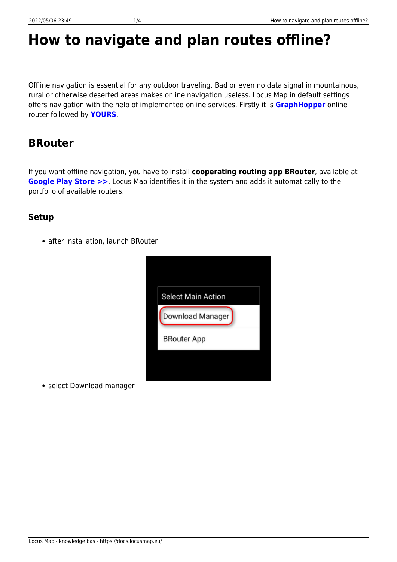# **How to navigate and plan routes offline?**

Offline navigation is essential for any outdoor traveling. Bad or even no data signal in mountainous, rural or otherwise deserted areas makes online navigation useless. Locus Map in default settings offers navigation with the help of implemented online services. Firstly it is **[GraphHopper](https://www.graphhopper.com/)** online router followed by **[YOURS](http://wiki.openstreetmap.org/wiki/YOURS)**.

## **BRouter**

If you want offline navigation, you have to install **cooperating routing app BRouter**, available at **[Google Play Store >>](https://play.google.com/store/apps/details?id=btools.routingapp)**. Locus Map identifies it in the system and adds it automatically to the portfolio of available routers.

### **Setup**

• after installation, launch BRouter

| <b>Select Main Action</b> |
|---------------------------|
| Download Manager          |
| <b>BRouter App</b>        |

• select Download manager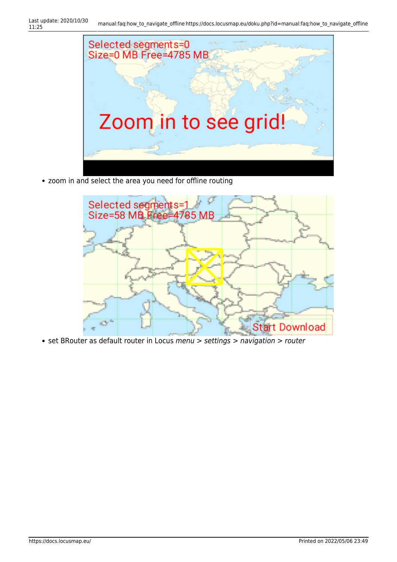

• zoom in and select the area you need for offline routing



• set BRouter as default router in Locus menu > settings > navigation > router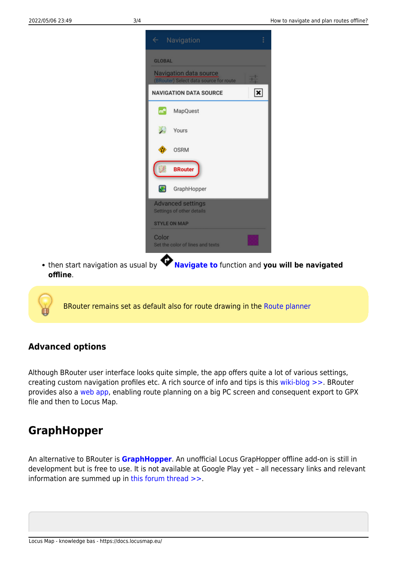

then start navigation as usual by **[Navigate to](https://docs.locusmap.eu/doku.php?id=manual:user_guide:functions:navigation:point-to-point)** function and **you will be navigated offline**.

BRouter remains set as default also for route drawing in the [Route planner](https://docs.locusmap.eu/doku.php?id=manual:user_guide:tracks:planning)

#### **Advanced options**

Although BRouter user interface looks quite simple, the app offers quite a lot of various settings, creating custom navigation profiles etc. A rich source of info and tips is this [wiki-blog >>](https://github.com/poutnikl/Brouter-profiles/wiki). BRouter provides also a [web app,](http://brouter.de/brouter-web/) enabling route planning on a big PC screen and consequent export to GPX file and then to Locus Map.

## **GraphHopper**

An alternative to BRouter is **[GraphHopper](https://graphhopper.com/)**. An unofficial Locus GrapHopper offline add-on is still in development but is free to use. It is not available at Google Play yet – all necessary links and relevant information are summed up in [this forum thread >>.](http://forum.locusmap.eu/index.php?topic=4036.0)